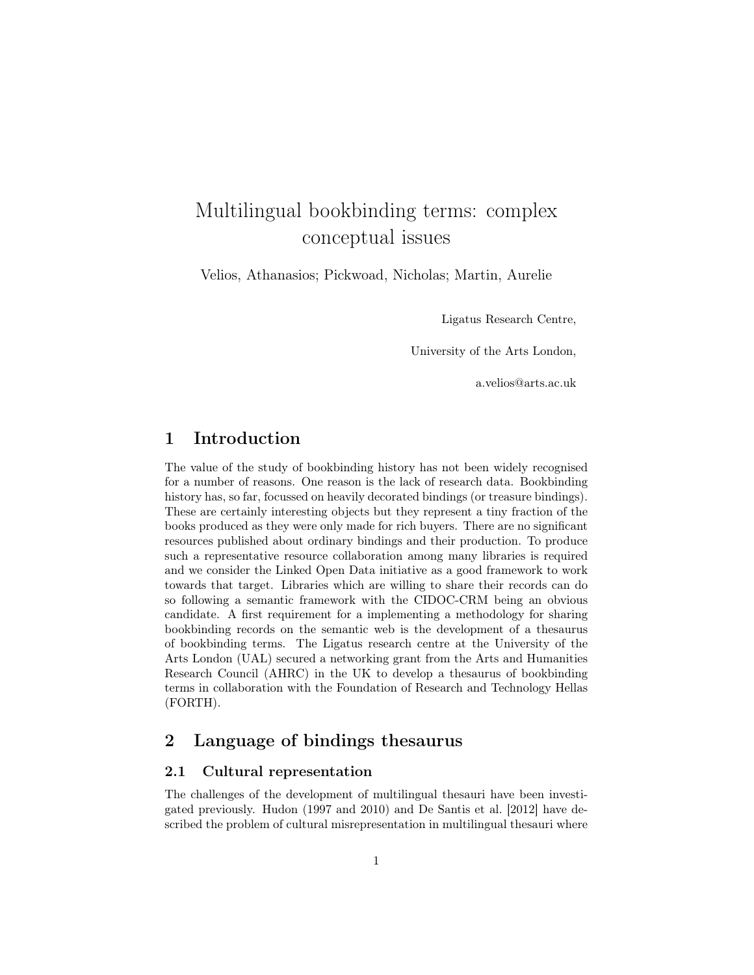# Multilingual bookbinding terms: complex conceptual issues

Velios, Athanasios; Pickwoad, Nicholas; Martin, Aurelie

Ligatus Research Centre,

University of the Arts London,

a.velios@arts.ac.uk

# 1 Introduction

The value of the study of bookbinding history has not been widely recognised for a number of reasons. One reason is the lack of research data. Bookbinding history has, so far, focussed on heavily decorated bindings (or treasure bindings). These are certainly interesting objects but they represent a tiny fraction of the books produced as they were only made for rich buyers. There are no significant resources published about ordinary bindings and their production. To produce such a representative resource collaboration among many libraries is required and we consider the Linked Open Data initiative as a good framework to work towards that target. Libraries which are willing to share their records can do so following a semantic framework with the CIDOC-CRM being an obvious candidate. A first requirement for a implementing a methodology for sharing bookbinding records on the semantic web is the development of a thesaurus of bookbinding terms. The Ligatus research centre at the University of the Arts London (UAL) secured a networking grant from the Arts and Humanities Research Council (AHRC) in the UK to develop a thesaurus of bookbinding terms in collaboration with the Foundation of Research and Technology Hellas (FORTH).

## 2 Language of bindings thesaurus

### 2.1 Cultural representation

The challenges of the development of multilingual thesauri have been investigated previously. Hudon [\(1997](#page-4-0) and [2010\)](#page-4-1) and [De Santis et al.](#page-4-2) [\[2012\]](#page-4-2) have described the problem of cultural misrepresentation in multilingual thesauri where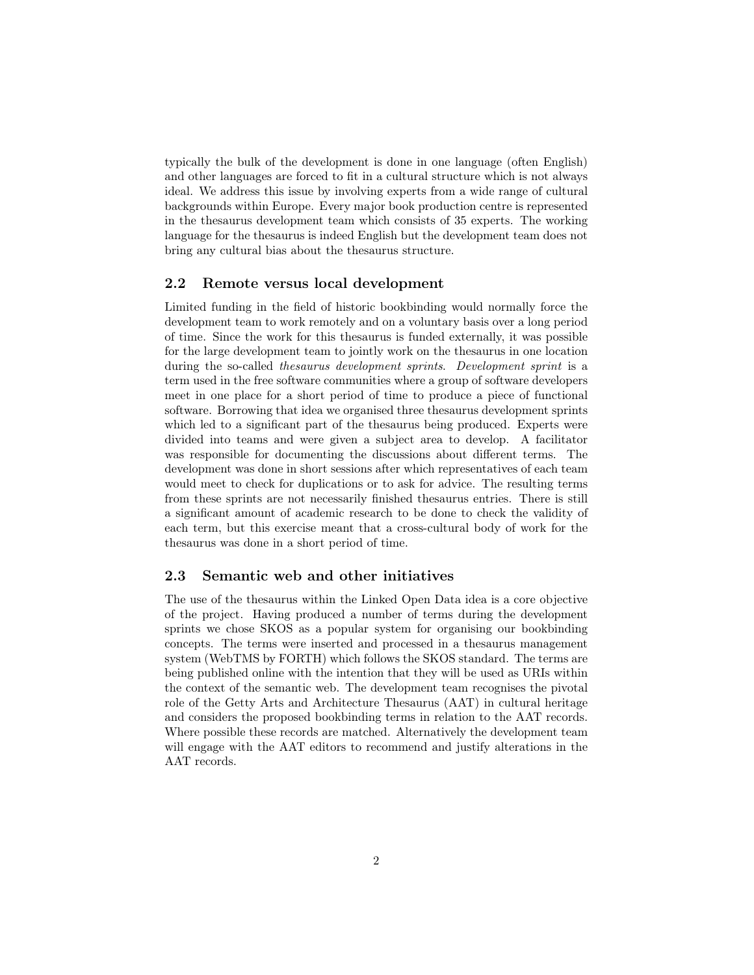typically the bulk of the development is done in one language (often English) and other languages are forced to fit in a cultural structure which is not always ideal. We address this issue by involving experts from a wide range of cultural backgrounds within Europe. Every major book production centre is represented in the thesaurus development team which consists of 35 experts. The working language for the thesaurus is indeed English but the development team does not bring any cultural bias about the thesaurus structure.

#### 2.2 Remote versus local development

Limited funding in the field of historic bookbinding would normally force the development team to work remotely and on a voluntary basis over a long period of time. Since the work for this thesaurus is funded externally, it was possible for the large development team to jointly work on the thesaurus in one location during the so-called thesaurus development sprints. Development sprint is a term used in the free software communities where a group of software developers meet in one place for a short period of time to produce a piece of functional software. Borrowing that idea we organised three thesaurus development sprints which led to a significant part of the thesaurus being produced. Experts were divided into teams and were given a subject area to develop. A facilitator was responsible for documenting the discussions about different terms. The development was done in short sessions after which representatives of each team would meet to check for duplications or to ask for advice. The resulting terms from these sprints are not necessarily finished thesaurus entries. There is still a significant amount of academic research to be done to check the validity of each term, but this exercise meant that a cross-cultural body of work for the thesaurus was done in a short period of time.

#### 2.3 Semantic web and other initiatives

The use of the thesaurus within the Linked Open Data idea is a core objective of the project. Having produced a number of terms during the development sprints we chose SKOS as a popular system for organising our bookbinding concepts. The terms were inserted and processed in a thesaurus management system (WebTMS by FORTH) which follows the SKOS standard. The terms are being published online with the intention that they will be used as URIs within the context of the semantic web. The development team recognises the pivotal role of the Getty Arts and Architecture Thesaurus (AAT) in cultural heritage and considers the proposed bookbinding terms in relation to the AAT records. Where possible these records are matched. Alternatively the development team will engage with the AAT editors to recommend and justify alterations in the AAT records.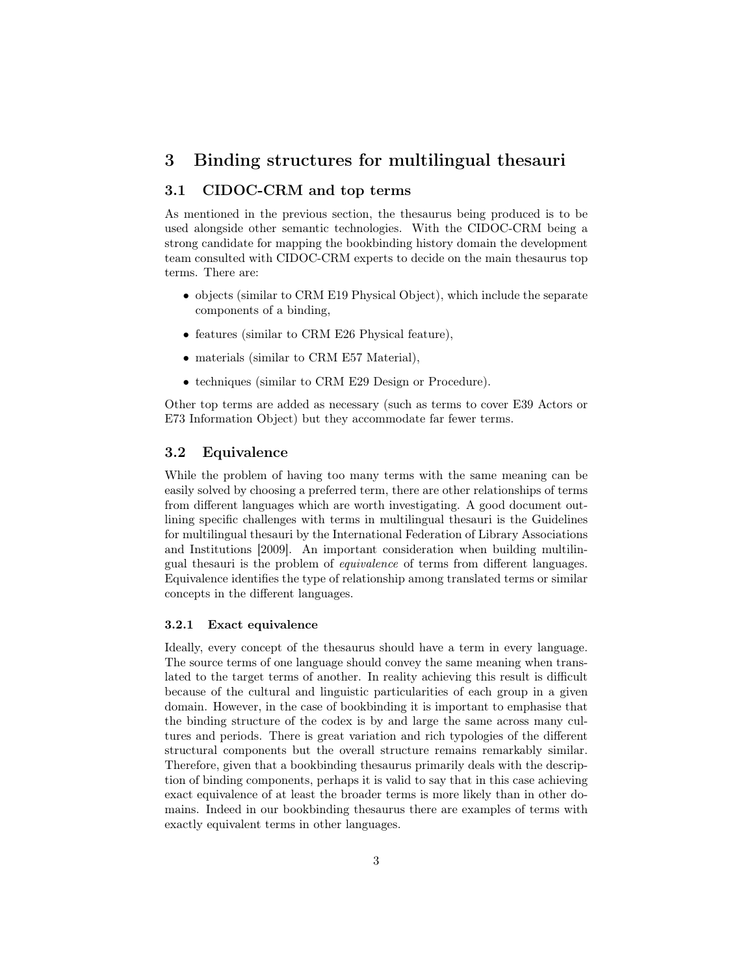## 3 Binding structures for multilingual thesauri

## 3.1 CIDOC-CRM and top terms

As mentioned in the previous section, the thesaurus being produced is to be used alongside other semantic technologies. With the CIDOC-CRM being a strong candidate for mapping the bookbinding history domain the development team consulted with CIDOC-CRM experts to decide on the main thesaurus top terms. There are:

- objects (similar to CRM E19 Physical Object), which include the separate components of a binding,
- features (similar to CRM E26 Physical feature),
- materials (similar to CRM E57 Material),
- techniques (similar to CRM E29 Design or Procedure).

Other top terms are added as necessary (such as terms to cover E39 Actors or E73 Information Object) but they accommodate far fewer terms.

#### 3.2 Equivalence

While the problem of having too many terms with the same meaning can be easily solved by choosing a preferred term, there are other relationships of terms from different languages which are worth investigating. A good document outlining specific challenges with terms in multilingual thesauri is the Guidelines for multilingual thesauri by the International Federation of Library Associations and Institutions [\[2009\]](#page-4-3). An important consideration when building multilingual thesauri is the problem of equivalence of terms from different languages. Equivalence identifies the type of relationship among translated terms or similar concepts in the different languages.

#### 3.2.1 Exact equivalence

Ideally, every concept of the thesaurus should have a term in every language. The source terms of one language should convey the same meaning when translated to the target terms of another. In reality achieving this result is difficult because of the cultural and linguistic particularities of each group in a given domain. However, in the case of bookbinding it is important to emphasise that the binding structure of the codex is by and large the same across many cultures and periods. There is great variation and rich typologies of the different structural components but the overall structure remains remarkably similar. Therefore, given that a bookbinding thesaurus primarily deals with the description of binding components, perhaps it is valid to say that in this case achieving exact equivalence of at least the broader terms is more likely than in other domains. Indeed in our bookbinding thesaurus there are examples of terms with exactly equivalent terms in other languages.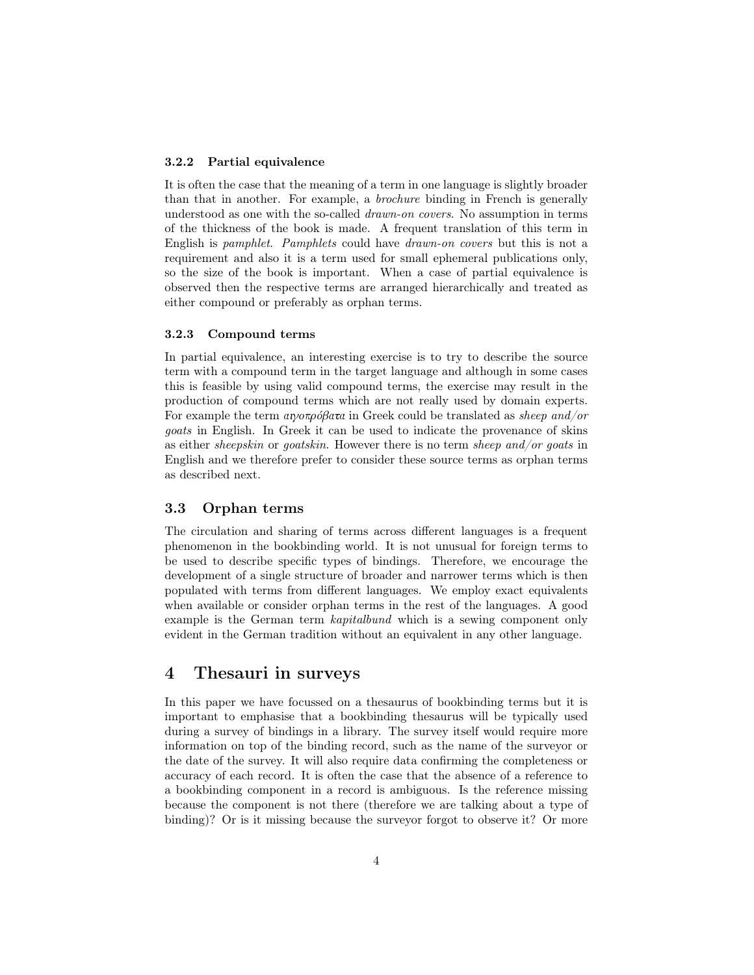#### 3.2.2 Partial equivalence

It is often the case that the meaning of a term in one language is slightly broader than that in another. For example, a brochure binding in French is generally understood as one with the so-called *drawn-on covers*. No assumption in terms of the thickness of the book is made. A frequent translation of this term in English is pamphlet. Pamphlets could have drawn-on covers but this is not a requirement and also it is a term used for small ephemeral publications only, so the size of the book is important. When a case of partial equivalence is observed then the respective terms are arranged hierarchically and treated as either compound or preferably as orphan terms.

#### 3.2.3 Compound terms

In partial equivalence, an interesting exercise is to try to describe the source term with a compound term in the target language and although in some cases this is feasible by using valid compound terms, the exercise may result in the production of compound terms which are not really used by domain experts. For example the term αιγοπρόβατα in Greek could be translated as sheep and/or goats in English. In Greek it can be used to indicate the provenance of skins as either sheepskin or goatskin. However there is no term sheep and/or goats in English and we therefore prefer to consider these source terms as orphan terms as described next.

## 3.3 Orphan terms

The circulation and sharing of terms across different languages is a frequent phenomenon in the bookbinding world. It is not unusual for foreign terms to be used to describe specific types of bindings. Therefore, we encourage the development of a single structure of broader and narrower terms which is then populated with terms from different languages. We employ exact equivalents when available or consider orphan terms in the rest of the languages. A good example is the German term kapitalbund which is a sewing component only evident in the German tradition without an equivalent in any other language.

## 4 Thesauri in surveys

In this paper we have focussed on a thesaurus of bookbinding terms but it is important to emphasise that a bookbinding thesaurus will be typically used during a survey of bindings in a library. The survey itself would require more information on top of the binding record, such as the name of the surveyor or the date of the survey. It will also require data confirming the completeness or accuracy of each record. It is often the case that the absence of a reference to a bookbinding component in a record is ambiguous. Is the reference missing because the component is not there (therefore we are talking about a type of binding)? Or is it missing because the surveyor forgot to observe it? Or more